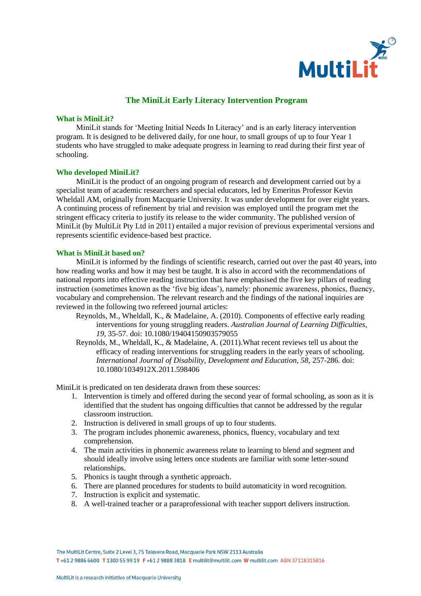

# **The MiniLit Early Literacy Intervention Program**

### **What is MiniLit?**

MiniLit stands for 'Meeting Initial Needs In Literacy' and is an early literacy intervention program. It is designed to be delivered daily, for one hour, to small groups of up to four Year 1 students who have struggled to make adequate progress in learning to read during their first year of schooling.

#### **Who developed MiniLit?**

MiniLit is the product of an ongoing program of research and development carried out by a specialist team of academic researchers and special educators, led by Emeritus Professor Kevin Wheldall AM, originally from Macquarie University. It was under development for over eight years. A continuing process of refinement by trial and revision was employed until the program met the stringent efficacy criteria to justify its release to the wider community. The published version of MiniLit (by MultiLit Pty Ltd in 2011) entailed a major revision of previous experimental versions and represents scientific evidence-based best practice.

#### **What is MiniLit based on?**

MiniLit is informed by the findings of scientific research, carried out over the past 40 years, into how reading works and how it may best be taught. It is also in accord with the recommendations of national reports into effective reading instruction that have emphasised the five key pillars of reading instruction (sometimes known as the 'five big ideas'), namely: phonemic awareness, phonics, fluency, vocabulary and comprehension. The relevant research and the findings of the national inquiries are reviewed in the following two refereed journal articles:

- Reynolds, M., Wheldall, K., & Madelaine, A. (2010). Components of effective early reading interventions for young struggling readers. *Australian Journal of Learning Difficulties, 19,* 35-57*.* doi: 10.1080/19404150903579055
- Reynolds, M., Wheldall, K., & Madelaine, A. (2011).What recent reviews tell us about the efficacy of reading interventions for struggling readers in the early years of schooling. *International Journal of Disability, Development and Education, 58, 257-286. doi:* 10.1080/1034912X.2011.598406

MiniLit is predicated on ten desiderata drawn from these sources:

- 1. Intervention is timely and offered during the second year of formal schooling, as soon as it is identified that the student has ongoing difficulties that cannot be addressed by the regular classroom instruction.
- 2. Instruction is delivered in small groups of up to four students.
- 3. The program includes phonemic awareness, phonics, fluency, vocabulary and text comprehension.
- 4. The main activities in phonemic awareness relate to learning to blend and segment and should ideally involve using letters once students are familiar with some letter-sound relationships.
- 5. Phonics is taught through a synthetic approach.
- 6. There are planned procedures for students to build automaticity in word recognition.
- 7. Instruction is explicit and systematic.
- 8. A well-trained teacher or a paraprofessional with teacher support delivers instruction.

T+61 2 9886 6600 T 1300 55 99 19 F+61 2 9888 3818 E multilit@multilit.com W multilit.com ABN 37118315816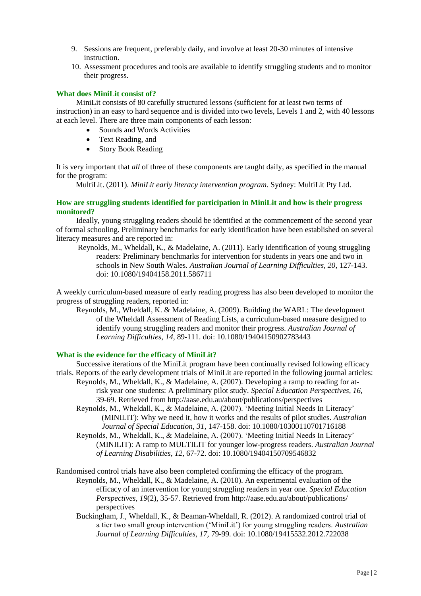- 9. Sessions are frequent, preferably daily, and involve at least 20-30 minutes of intensive instruction.
- 10. Assessment procedures and tools are available to identify struggling students and to monitor their progress.

# **What does MiniLit consist of?**

MiniLit consists of 80 carefully structured lessons (sufficient for at least two terms of instruction) in an easy to hard sequence and is divided into two levels, Levels 1 and 2, with 40 lessons at each level. There are three main components of each lesson:

- Sounds and Words Activities
- Text Reading, and
- Story Book Reading

It is very important that *all* of three of these components are taught daily, as specified in the manual for the program:

MultiLit. (2011). *MiniLit early literacy intervention program.* Sydney: MultiLit Pty Ltd.

# **How are struggling students identified for participation in MiniLit and how is their progress monitored?**

Ideally, young struggling readers should be identified at the commencement of the second year of formal schooling. Preliminary benchmarks for early identification have been established on several literacy measures and are reported in:

Reynolds, M., Wheldall, K., & Madelaine, A. (2011). Early identification of young struggling readers: Preliminary benchmarks for intervention for students in years one and two in schools in New South Wales. *Australian Journal of Learning Difficulties, 20,* 127-143. doi: 10.1080/19404158.2011.586711

A weekly curriculum-based measure of early reading progress has also been developed to monitor the progress of struggling readers, reported in:

Reynolds, M., Wheldall, K. & Madelaine, A. (2009). Building the WARL: The development of the Wheldall Assessment of Reading Lists, a curriculum-based measure designed to identify young struggling readers and monitor their progress. *Australian Journal of Learning Difficulties*, *14*, 89-111. doi: 10.1080/19404150902783443

## **What is the evidence for the efficacy of MiniLit?**

Successive iterations of the MiniLit program have been continually revised following efficacy trials. Reports of the early development trials of MiniLit are reported in the following journal articles:

- Reynolds, M., Wheldall, K., & Madelaine, A. (2007). Developing a ramp to reading for atrisk year one students: A preliminary pilot study. *Special Education Perspectives, 16,*  39-69. Retrieved from http://aase.edu.au/about/publications/perspectives
	- Reynolds, M., Wheldall, K., & Madelaine, A. (2007). 'Meeting Initial Needs In Literacy' (MINILIT): Why we need it, how it works and the results of pilot studies. *Australian Journal of Special Education, 31*, 147-158. doi: 10.1080/10300110701716188
	- Reynolds, M., Wheldall, K., & Madelaine, A. (2007). 'Meeting Initial Needs In Literacy' (MINILIT): A ramp to MULTILIT for younger low-progress readers. *Australian Journal of Learning Disabilities, 12,* 67-72. doi: 10.1080/19404150709546832

Randomised control trials have also been completed confirming the efficacy of the program. Reynolds, M., Wheldall, K., & Madelaine, A. (2010). An experimental evaluation of the efficacy of an intervention for young struggling readers in year one. *Special Education Perspectives, 19*(2)*,* 35-57. Retrieved from http://aase.edu.au/about/publications/ perspectives

Buckingham, J., Wheldall, K., & Beaman-Wheldall, R. (2012). A randomized control trial of a tier two small group intervention ('MiniLit') for young struggling readers. *Australian Journal of Learning Difficulties, 17,* 79-99*.* doi: 10.1080/19415532.2012.722038